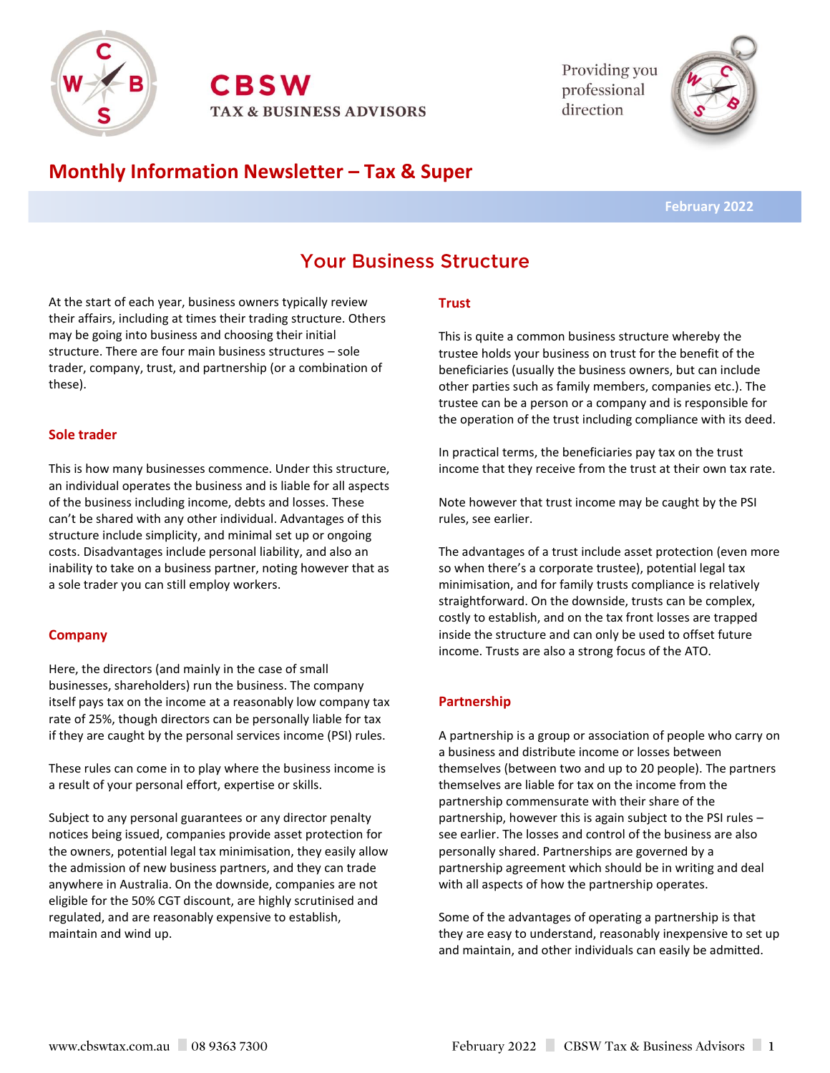

**CBSW TAX & BUSINESS ADVISORS**  Providing you professional direction



## **Monthly Information Newsletter – Tax & Super**

 **February 2022**

# **Your Business Structure**

At the start of each year, business owners typically review their affairs, including at times their trading structure. Others may be going into business and choosing their initial structure. There are four main business structures – sole trader, company, trust, and partnership (or a combination of these).

#### **Sole trader**

This is how many businesses commence. Under this structure, an individual operates the business and is liable for all aspects of the business including income, debts and losses. These can't be shared with any other individual. Advantages of this structure include simplicity, and minimal set up or ongoing costs. Disadvantages include personal liability, and also an inability to take on a business partner, noting however that as a sole trader you can still employ workers.

#### **Company**

Here, the directors (and mainly in the case of small businesses, shareholders) run the business. The company itself pays tax on the income at a reasonably low company tax rate of 25%, though directors can be personally liable for tax if they are caught by the personal services income (PSI) rules.

These rules can come in to play where the business income is a result of your personal effort, expertise or skills.

Subject to any personal guarantees or any director penalty notices being issued, companies provide asset protection for the owners, potential legal tax minimisation, they easily allow the admission of new business partners, and they can trade anywhere in Australia. On the downside, companies are not eligible for the 50% CGT discount, are highly scrutinised and regulated, and are reasonably expensive to establish, maintain and wind up.

### **Trust**

This is quite a common business structure whereby the trustee holds your business on trust for the benefit of the beneficiaries (usually the business owners, but can include other parties such as family members, companies etc.). The trustee can be a person or a company and is responsible for the operation of the trust including compliance with its deed.

In practical terms, the beneficiaries pay tax on the trust income that they receive from the trust at their own tax rate.

Note however that trust income may be caught by the PSI rules, see earlier.

The advantages of a trust include asset protection (even more so when there's a corporate trustee), potential legal tax minimisation, and for family trusts compliance is relatively straightforward. On the downside, trusts can be complex, costly to establish, and on the tax front losses are trapped inside the structure and can only be used to offset future income. Trusts are also a strong focus of the ATO.

## **Partnership**

A partnership is a group or association of people who carry on a business and distribute income or losses between themselves (between two and up to 20 people). The partners themselves are liable for tax on the income from the partnership commensurate with their share of the partnership, however this is again subject to the PSI rules – see earlier. The losses and control of the business are also personally shared. Partnerships are governed by a partnership agreement which should be in writing and deal with all aspects of how the partnership operates.

Some of the advantages of operating a partnership is that they are easy to understand, reasonably inexpensive to set up and maintain, and other individuals can easily be admitted.